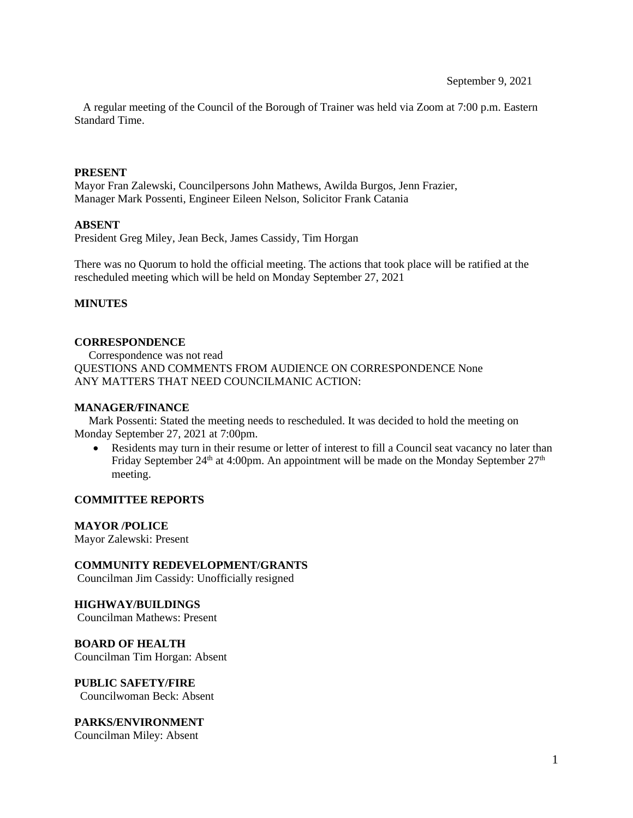A regular meeting of the Council of the Borough of Trainer was held via Zoom at 7:00 p.m. Eastern Standard Time.

#### **PRESENT**

Mayor Fran Zalewski, Councilpersons John Mathews, Awilda Burgos, Jenn Frazier, Manager Mark Possenti, Engineer Eileen Nelson, Solicitor Frank Catania

#### **ABSENT**

President Greg Miley, Jean Beck, James Cassidy, Tim Horgan

There was no Quorum to hold the official meeting. The actions that took place will be ratified at the rescheduled meeting which will be held on Monday September 27, 2021

#### **MINUTES**

#### **CORRESPONDENCE**

 Correspondence was not read QUESTIONS AND COMMENTS FROM AUDIENCE ON CORRESPONDENCE None ANY MATTERS THAT NEED COUNCILMANIC ACTION:

#### **MANAGER/FINANCE**

 Mark Possenti: Stated the meeting needs to rescheduled. It was decided to hold the meeting on Monday September 27, 2021 at 7:00pm.

Residents may turn in their resume or letter of interest to fill a Council seat vacancy no later than Friday September 24<sup>th</sup> at 4:00pm. An appointment will be made on the Monday September  $27<sup>th</sup>$ meeting.

## **COMMITTEE REPORTS**

#### **MAYOR /POLICE**

Mayor Zalewski: Present

## **COMMUNITY REDEVELOPMENT/GRANTS**

Councilman Jim Cassidy: Unofficially resigned

# **HIGHWAY/BUILDINGS**

Councilman Mathews: Present

**BOARD OF HEALTH**  Councilman Tim Horgan: Absent

**PUBLIC SAFETY/FIRE**  Councilwoman Beck: Absent

## **PARKS/ENVIRONMENT**

Councilman Miley: Absent